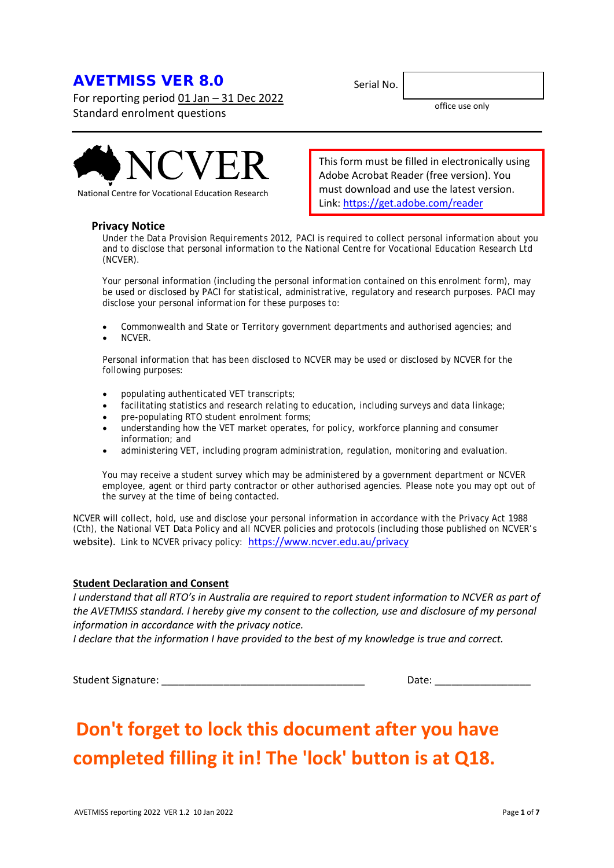# AVETMISS VER 8.0

For reporting period 01 Jan – 31 Dec 2022 Standard enrolment questions



National Centre for Vocational Education Research

# **Privacy Notice**

Under the *Data Provision Requirements 2012*, PACI is required to collect personal information about you and to disclose that personal information to the National Centre for Vocational Education Research Ltd (NCVER).

Your personal information (including the personal information contained on this enrolment form), may be used or disclosed by PACI for statistical, administrative, regulatory and research purposes. PACI may disclose your personal information for these purposes to:

- Commonwealth and State or Territory government departments and authorised agencies; and
- NCVER.

Personal information that has been disclosed to NCVER may be used or disclosed by NCVER for the following purposes:

- populating authenticated VET transcripts;
- facilitating statistics and research relating to education, including surveys and data linkage;
- pre-populating RTO student enrolment forms;
- understanding how the VET market operates, for policy, workforce planning and consumer information; and
- administering VET, including program administration, regulation, monitoring and evaluation.

You may receive a student survey which may be administered by a government department or NCVER employee, agent or third party contractor or other authorised agencies. Please note you may opt out of the survey at the time of being contacted.

NCVER will collect, hold, use and disclose your personal information in accordance with the *Privacy Act 1988* (Cth), the National VET Data Policy and all NCVER policies and protocols (including those published on NCVER's website). Link to NCVER privacy policy: <https://www.ncver.edu.au/privacy>

# **Student Declaration and Consent**

*I understand that all RTO's in Australia are required to report student information to NCVER as part of the AVETMISS standard. I hereby give my consent to the collection, use and disclosure of my personal information in accordance with the privacy notice.*

*I declare that the information I have provided to the best of my knowledge is true and correct.*

Student Signature: \_\_\_\_\_\_\_\_\_\_\_\_\_\_\_\_\_\_\_\_\_\_\_\_\_\_\_\_\_\_\_\_\_\_\_\_ Date: \_\_\_\_\_\_\_\_\_\_\_\_\_\_\_\_\_

# **Don't forget to lock this document after you have completed filling it in! The 'lock' button is at Q18.**

Serial No.

Link:<https://get.adobe.com/reader>

This form must be filled in electronically using Adobe Acrobat Reader (free version). You must download and use the latest version.

office use only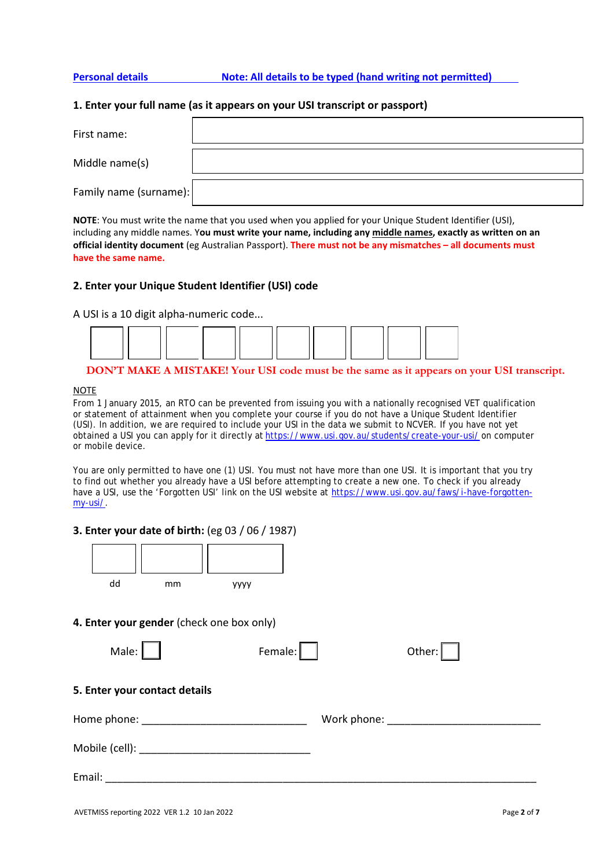**Personal details Note: All details to be typed (hand writing not permitted)**

# **1. Enter your full name (as it appears on your USI transcript or passport)**

| First name:            |  |
|------------------------|--|
| Middle name(s)         |  |
| Family name (surname): |  |

**NOTE**: You must write the name that you used when you applied for your Unique Student Identifier (USI), including any middle names. Y**ou must write your name, including any middle names, exactly as written on an official identity document** (eg Australian Passport). **There must not be any mismatches – all documents must have the same name.**

# **2. Enter your Unique Student Identifier (USI) code**

A USI is a 10 digit alpha-numeric code...



# **DON'T MAKE A MISTAKE! Your USI code must be the same as it appears on your USI transcript.**

# **NOTE**

From 1 January 2015, an RTO can be prevented from issuing you with a nationally recognised VET qualification or statement of attainment when you complete your course if you do not have a Unique Student Identifier (USI). In addition, we are required to include your USI in the data we submit to NCVER. If you have not yet obtained a USI you can apply for it directly at <https://www.usi.gov.au/students/create-your-usi/> on computer or mobile device.

You are only permitted to have one (1) USI. You must not have more than one USI. It is important that you try to find out whether you already have a USI before attempting to create a new one. To check if you already have a USI, use the 'Forgotten USI' link on the USI website at [https://www.usi.gov.au/faws/i-have-forgotten](https://www.usi.gov.au/faws/i-have-forgotten-my-usi/)[my-usi/.](https://www.usi.gov.au/faws/i-have-forgotten-my-usi/)

# **3. Enter your date of birth:** (eg 03 / 06 / 1987)



# **4. Enter your gender** (check one box only)

| Male:                         | Female: | Other:                                                                                                                                                                                                                        |
|-------------------------------|---------|-------------------------------------------------------------------------------------------------------------------------------------------------------------------------------------------------------------------------------|
| 5. Enter your contact details |         |                                                                                                                                                                                                                               |
|                               |         | Work phone: when the state of the state of the state of the state of the state of the state of the state of the state of the state of the state of the state of the state of the state of the state of the state of the state |
|                               |         |                                                                                                                                                                                                                               |
| Email:                        |         |                                                                                                                                                                                                                               |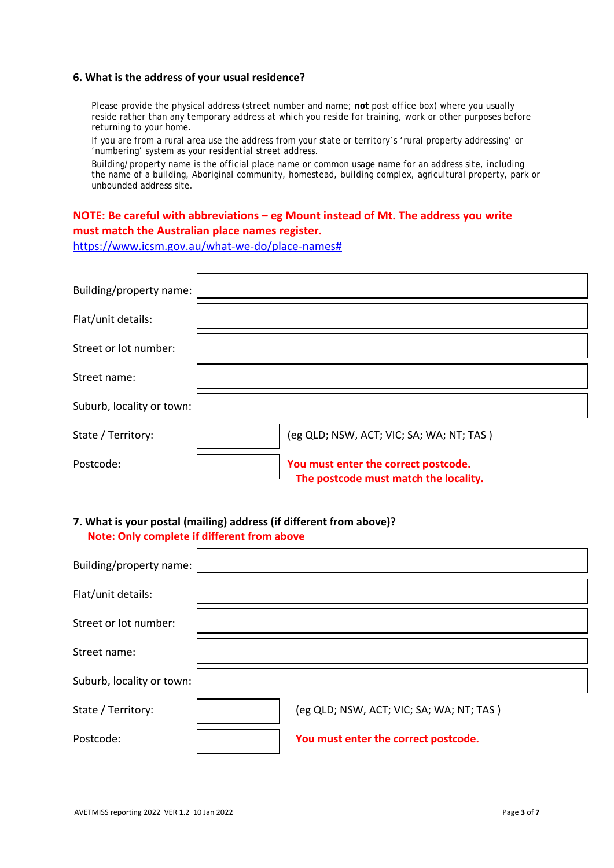# **6. What is the address of your usual residence?**

Please provide the physical address (street number and name; **not** post office box) where you usually reside rather than any temporary address at which you reside for training, work or other purposes before returning to your home.

If you are from a rural area use the address from your state or territory's 'rural property addressing' or 'numbering' system as your residential street address.

Building/property name is the official place name or common usage name for an address site, including the name of a building, Aboriginal community, homestead, building complex, agricultural property, park or unbounded address site.

# **NOTE: Be careful with abbreviations – eg Mount instead of Mt. The address you write must match the Australian place names register.**

[https://www.icsm.gov.au/what-we-do/place-names#](https://www.icsm.gov.au/what-we-do/place-names)

| Building/property name:   |                                                                               |
|---------------------------|-------------------------------------------------------------------------------|
| Flat/unit details:        |                                                                               |
| Street or lot number:     |                                                                               |
| Street name:              |                                                                               |
| Suburb, locality or town: |                                                                               |
| State / Territory:        | (eg QLD; NSW, ACT; VIC; SA; WA; NT; TAS)                                      |
| Postcode:                 | You must enter the correct postcode.<br>The postcode must match the locality. |

# **7. What is your postal (mailing) address (if different from above)? Note: Only complete if different from above**

| Building/property name:   |                                          |
|---------------------------|------------------------------------------|
| Flat/unit details:        |                                          |
| Street or lot number:     |                                          |
| Street name:              |                                          |
| Suburb, locality or town: |                                          |
| State / Territory:        | (eg QLD; NSW, ACT; VIC; SA; WA; NT; TAS) |
| Postcode:                 | You must enter the correct postcode.     |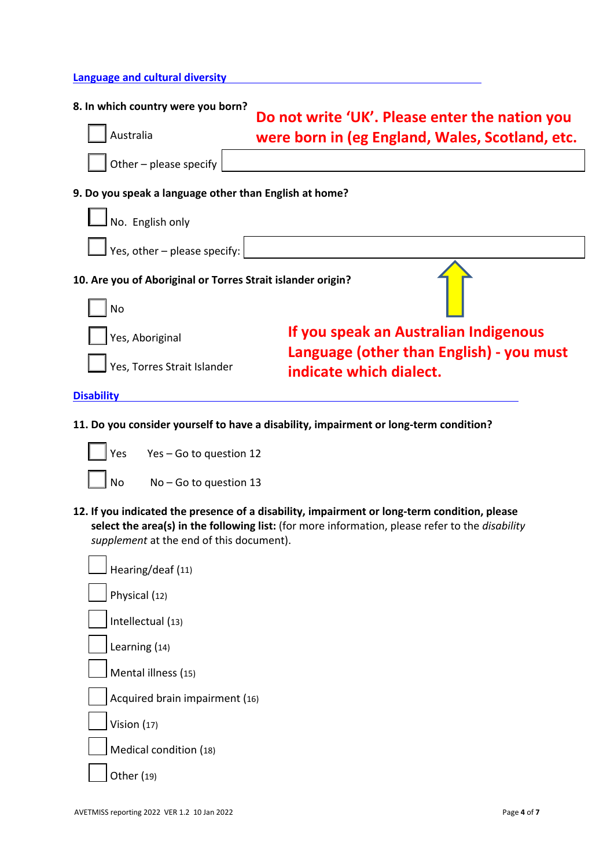# **Language and cultural diversity**

| 8. In which country were you born?<br>Do not write 'UK'. Please enter the nation you |                                                                     |
|--------------------------------------------------------------------------------------|---------------------------------------------------------------------|
| Australia                                                                            | were born in (eg England, Wales, Scotland, etc.                     |
| Other - please specify                                                               |                                                                     |
| 9. Do you speak a language other than English at home?                               |                                                                     |
| No. English only                                                                     |                                                                     |
| Yes, other - please specify:                                                         |                                                                     |
| 10. Are you of Aboriginal or Torres Strait islander origin?<br>No                    |                                                                     |
|                                                                                      |                                                                     |
| Yes, Aboriginal                                                                      | If you speak an Australian Indigenous                               |
| Yes, Torres Strait Islander                                                          | Language (other than English) - you must<br>indicate which dialect. |
| <b>Disability</b>                                                                    |                                                                     |

- **11. Do you consider yourself to have a disability, impairment or long-term condition?**
	- Yes Yes Go to question 12 No No – Go to question 13
- **12. If you indicated the presence of a disability, impairment or long-term condition, please select the area(s) in the following list:** (for more information, please refer to the *disability supplement* at the end of this document).

| Hearing/deaf (11)              |
|--------------------------------|
| Physical (12)                  |
| Intellectual (13)              |
| Learning (14)                  |
| $\vert$ Mental illness (15)    |
| Acquired brain impairment (16) |
| Vision $(17)$                  |
| Medical condition (18)         |
| Other (19)                     |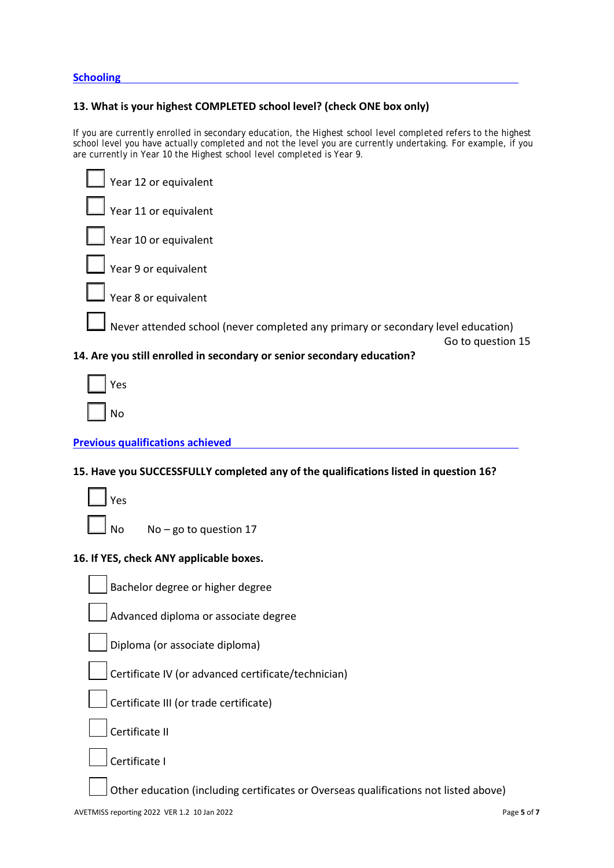**Schooling**

# **13. What is your highest COMPLETED school level? (check ONE box only)**

If you are currently enrolled in secondary education, the *Highest school level completed* refers to the highest school level you have actually completed and not the level you are currently undertaking. For example, if you are currently in Year 10 the *Highest school level completed* is Year 9.

| Year 12 or equivalent                                                            |                   |
|----------------------------------------------------------------------------------|-------------------|
| Year 11 or equivalent                                                            |                   |
| Year 10 or equivalent                                                            |                   |
| Year 9 or equivalent                                                             |                   |
| Vear 8 or equivalent                                                             |                   |
| Never attended school (never completed any primary or secondary level education) | Go to question 15 |
| 14. Are you still enrolled in secondary or senior secondary education?           |                   |
| res                                                                              |                   |

| Yes |
|-----|
|     |
| No  |

# **Previous qualifications achieved**

# **15. Have you SUCCESSFULLY completed any of the qualifications listed in question 16?**

| Yes    |
|--------|
| n<br>N |

 $No - go$  to question 17

# **16. If YES, check ANY applicable boxes.**

Advanced diploma or associate degree

Diploma (or associate diploma)

Certificate IV (or advanced certificate/technician)

Certificate III (or trade certificate)

Certificate II

Certificate I

Other education (including certificates or Overseas qualifications not listed above)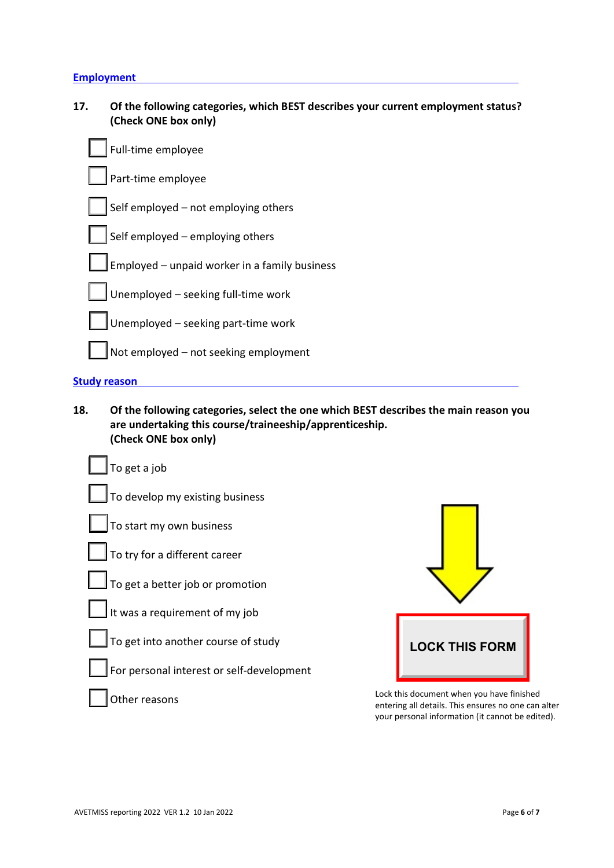# **Employment**

| 17. | Of the following categories, which BEST describes your current employment status? |
|-----|-----------------------------------------------------------------------------------|
|     | (Check ONE box only)                                                              |

| Full-time employee                            |
|-----------------------------------------------|
| Part-time employee                            |
| Self employed - not employing others          |
| Self employed - employing others              |
| Employed - unpaid worker in a family business |
| Unemployed - seeking full-time work           |
| Unemployed - seeking part-time work           |
| Not employed - not seeking employment         |
| <b>Study reason</b>                           |

**18. Of the following categories, select the one which BEST describes the main reason you are undertaking this course/traineeship/apprenticeship. (Check ONE box only)**

| To get a job                              |                                                                                                                                                      |
|-------------------------------------------|------------------------------------------------------------------------------------------------------------------------------------------------------|
| To develop my existing business           |                                                                                                                                                      |
| To start my own business                  |                                                                                                                                                      |
| To try for a different career             |                                                                                                                                                      |
| To get a better job or promotion          |                                                                                                                                                      |
| It was a requirement of my job            |                                                                                                                                                      |
| To get into another course of study       | <b>LOCK THIS FORM</b>                                                                                                                                |
| For personal interest or self-development |                                                                                                                                                      |
| er reasons                                | Lock this document when you have finished<br>entering all details. This ensures no one can alter<br>your personal information (it cannot be edited). |